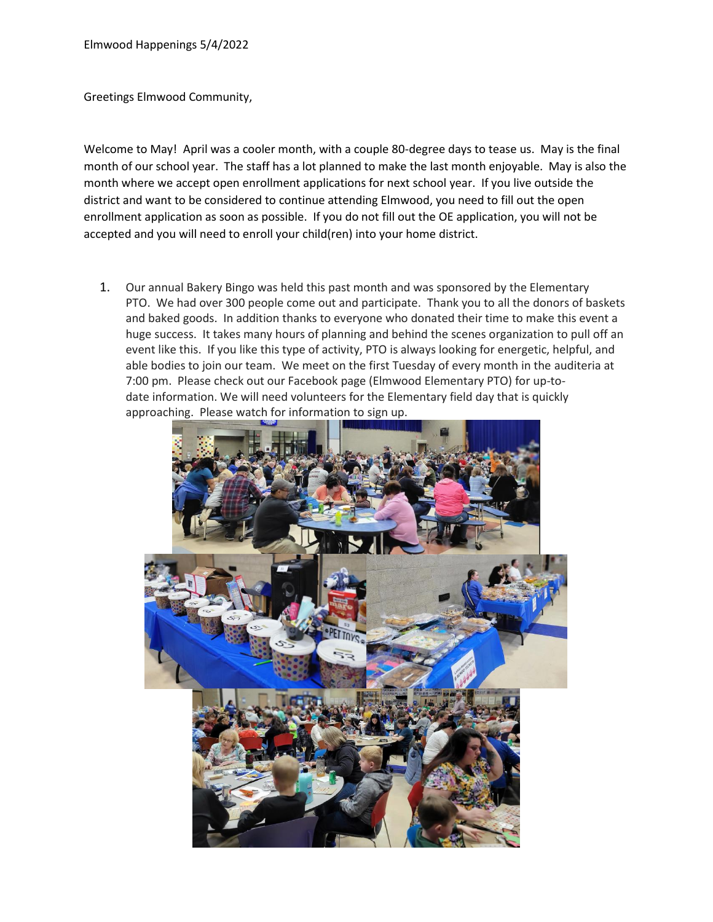Greetings Elmwood Community,

Welcome to May! April was a cooler month, with a couple 80-degree days to tease us. May is the final month of our school year. The staff has a lot planned to make the last month enjoyable. May is also the month where we accept open enrollment applications for next school year. If you live outside the district and want to be considered to continue attending Elmwood, you need to fill out the open enrollment application as soon as possible. If you do not fill out the OE application, you will not be accepted and you will need to enroll your child(ren) into your home district.

1. Our annual Bakery Bingo was held this past month and was sponsored by the Elementary PTO. We had over 300 people come out and participate. Thank you to all the donors of baskets and baked goods. In addition thanks to everyone who donated their time to make this event a huge success. It takes many hours of planning and behind the scenes organization to pull off an event like this. If you like this type of activity, PTO is always looking for energetic, helpful, and able bodies to join our team. We meet on the first Tuesday of every month in the auditeria at 7:00 pm. Please check out our Facebook page (Elmwood Elementary PTO) for up-todate information. We will need volunteers for the Elementary field day that is quickly approaching. Please watch for information to sign up.

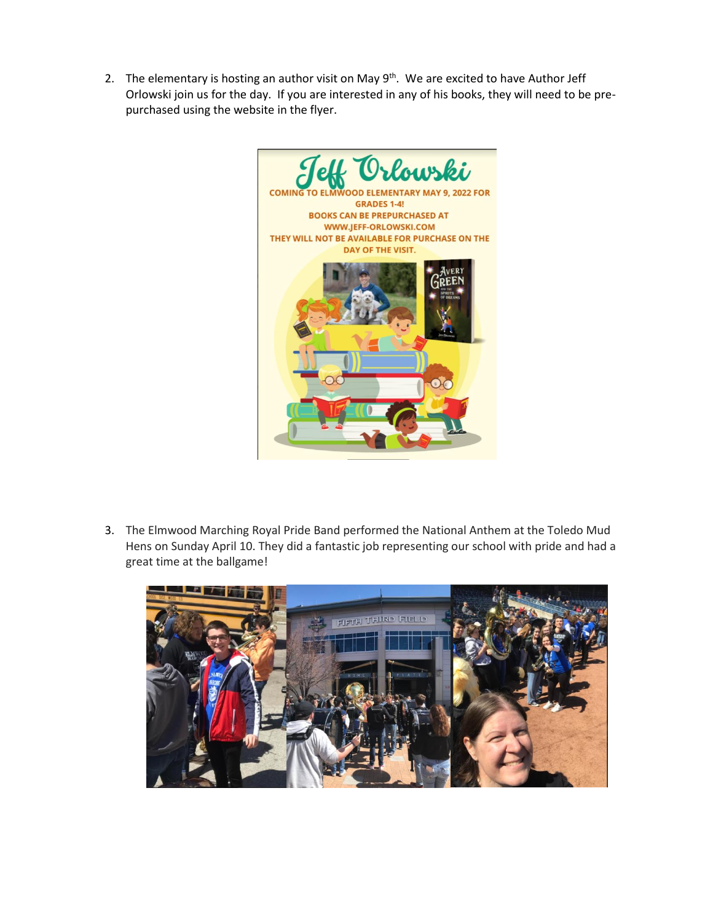2. The elementary is hosting an author visit on May  $9<sup>th</sup>$ . We are excited to have Author Jeff Orlowski join us for the day. If you are interested in any of his books, they will need to be prepurchased using the website in the flyer.



3. The Elmwood Marching Royal Pride Band performed the National Anthem at the Toledo Mud Hens on Sunday April 10. They did a fantastic job representing our school with pride and had a great time at the ballgame!

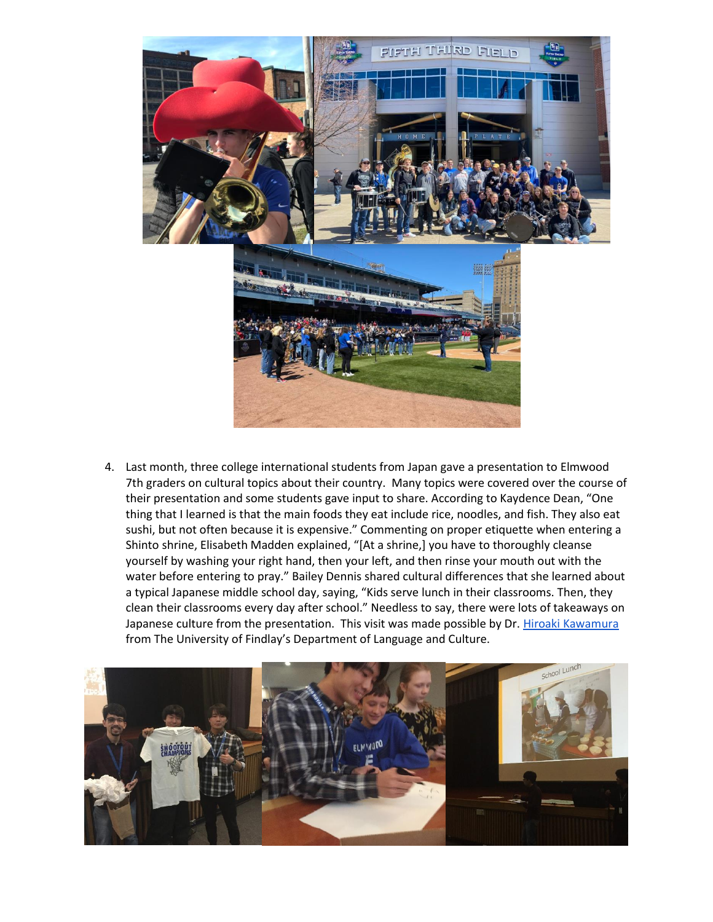

4. Last month, three college international students from Japan gave a presentation to Elmwood 7th graders on cultural topics about their country. Many topics were covered over the course of their presentation and some students gave input to share. According to Kaydence Dean, "One thing that I learned is that the main foods they eat include rice, noodles, and fish. They also eat sushi, but not often because it is expensive." Commenting on proper etiquette when entering a Shinto shrine, Elisabeth Madden explained, "[At a shrine,] you have to thoroughly cleanse yourself by washing your right hand, then your left, and then rinse your mouth out with the water before entering to pray." Bailey Dennis shared cultural differences that she learned about a typical Japanese middle school day, saying, "Kids serve lunch in their classrooms. Then, they clean their classrooms every day after school." Needless to say, there were lots of takeaways on Japanese culture from the presentation. This visit was made possible by Dr. [Hiroaki Kawamura](mailto:kawamura@findlay.edu) from The University of Findlay's Department of Language and Culture.